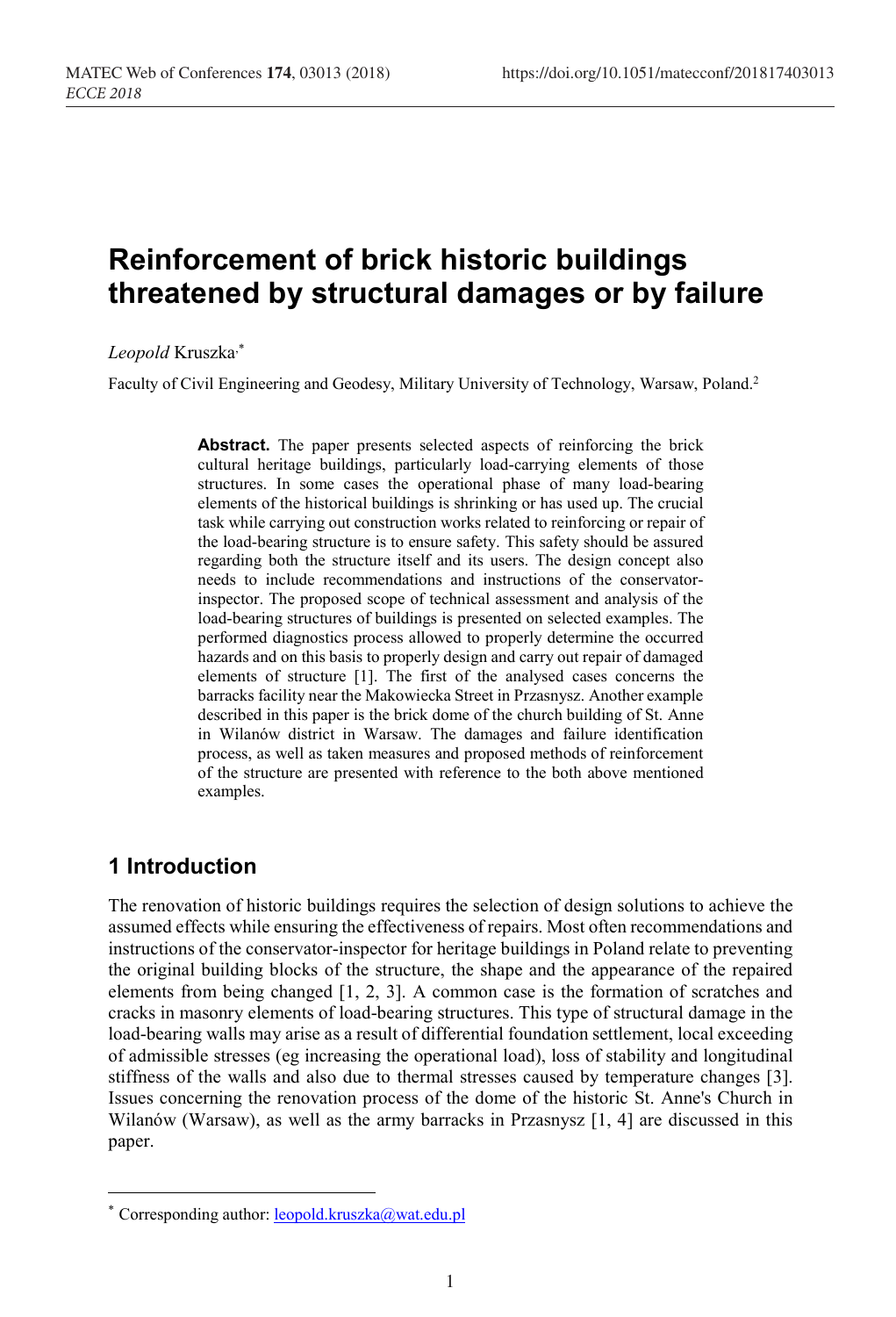# Reinforcement of brick historic buildings threatened by structural damages or by failure

Leopold Kruszka,\*

Faculty of Civil Engineering and Geodesy, Military University of Technology, Warsaw, Poland.2

Abstract. The paper presents selected aspects of reinforcing the brick cultural heritage buildings, particularly load-carrying elements of those structures. In some cases the operational phase of many load-bearing elements of the historical buildings is shrinking or has used up. The crucial task while carrying out construction works related to reinforcing or repair of the load-bearing structure is to ensure safety. This safety should be assured regarding both the structure itself and its users. The design concept also needs to include recommendations and instructions of the conservatorinspector. The proposed scope of technical assessment and analysis of the load-bearing structures of buildings is presented on selected examples. The performed diagnostics process allowed to properly determine the occurred hazards and on this basis to properly design and carry out repair of damaged elements of structure [1]. The first of the analysed cases concerns the barracks facility near the Makowiecka Street in Przasnysz. Another example described in this paper is the brick dome of the church building of St. Anne in Wilanów district in Warsaw. The damages and failure identification process, as well as taken measures and proposed methods of reinforcement of the structure are presented with reference to the both above mentioned examples.

## 1 Introduction

 $\overline{a}$ 

The renovation of historic buildings requires the selection of design solutions to achieve the assumed effects while ensuring the effectiveness of repairs. Most often recommendations and instructions of the conservator-inspector for heritage buildings in Poland relate to preventing the original building blocks of the structure, the shape and the appearance of the repaired elements from being changed [1, 2, 3]. A common case is the formation of scratches and cracks in masonry elements of load-bearing structures. This type of structural damage in the load-bearing walls may arise as a result of differential foundation settlement, local exceeding of admissible stresses (eg increasing the operational load), loss of stability and longitudinal stiffness of the walls and also due to thermal stresses caused by temperature changes [3]. Issues concerning the renovation process of the dome of the historic St. Anne's Church in Wilanów (Warsaw), as well as the army barracks in Przasnysz [1, 4] are discussed in this paper.

<sup>\*</sup> Corresponding author: leopold.kruszka@wat.edu.pl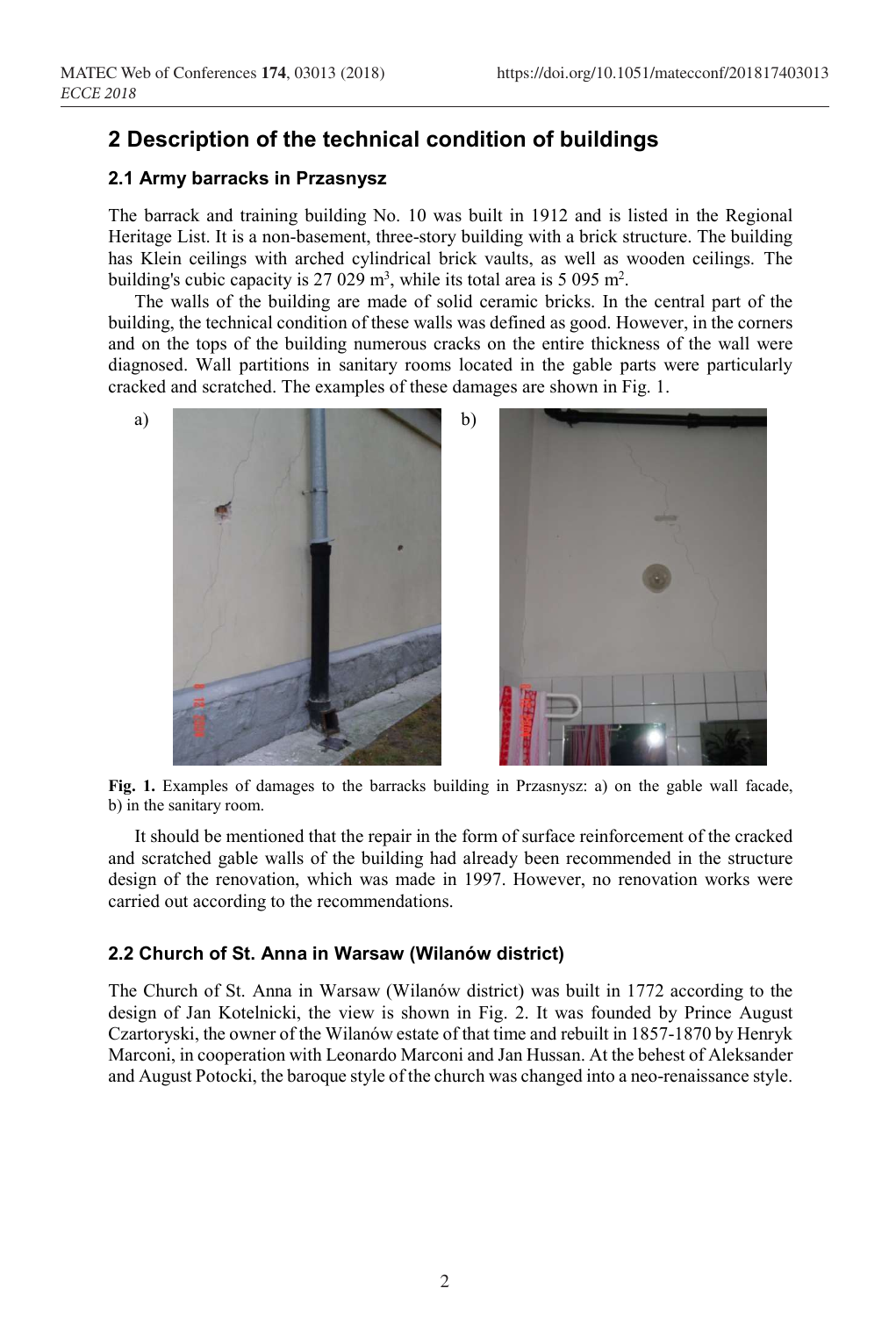### 2 Description of the technical condition of buildings

#### 2.1 Army barracks in Przasnysz

The barrack and training building No. 10 was built in 1912 and is listed in the Regional Heritage List. It is a non-basement, three-story building with a brick structure. The building has Klein ceilings with arched cylindrical brick vaults, as well as wooden ceilings. The building's cubic capacity is 27 029  $m^3$ , while its total area is 5 095  $m^2$ .

The walls of the building are made of solid ceramic bricks. In the central part of the building, the technical condition of these walls was defined as good. However, in the corners and on the tops of the building numerous cracks on the entire thickness of the wall were diagnosed. Wall partitions in sanitary rooms located in the gable parts were particularly cracked and scratched. The examples of these damages are shown in Fig. 1.



Fig. 1. Examples of damages to the barracks building in Przasnysz: a) on the gable wall facade, b) in the sanitary room.

It should be mentioned that the repair in the form of surface reinforcement of the cracked and scratched gable walls of the building had already been recommended in the structure design of the renovation, which was made in 1997. However, no renovation works were carried out according to the recommendations.

#### 2.2 Church of St. Anna in Warsaw (Wilanów district)

The Church of St. Anna in Warsaw (Wilanów district) was built in 1772 according to the design of Jan Kotelnicki, the view is shown in Fig. 2. It was founded by Prince August Czartoryski, the owner of the Wilanów estate of that time and rebuilt in 1857-1870 by Henryk Marconi, in cooperation with Leonardo Marconi and Jan Hussan. At the behest of Aleksander and August Potocki, the baroque style of the church was changed into a neo-renaissance style.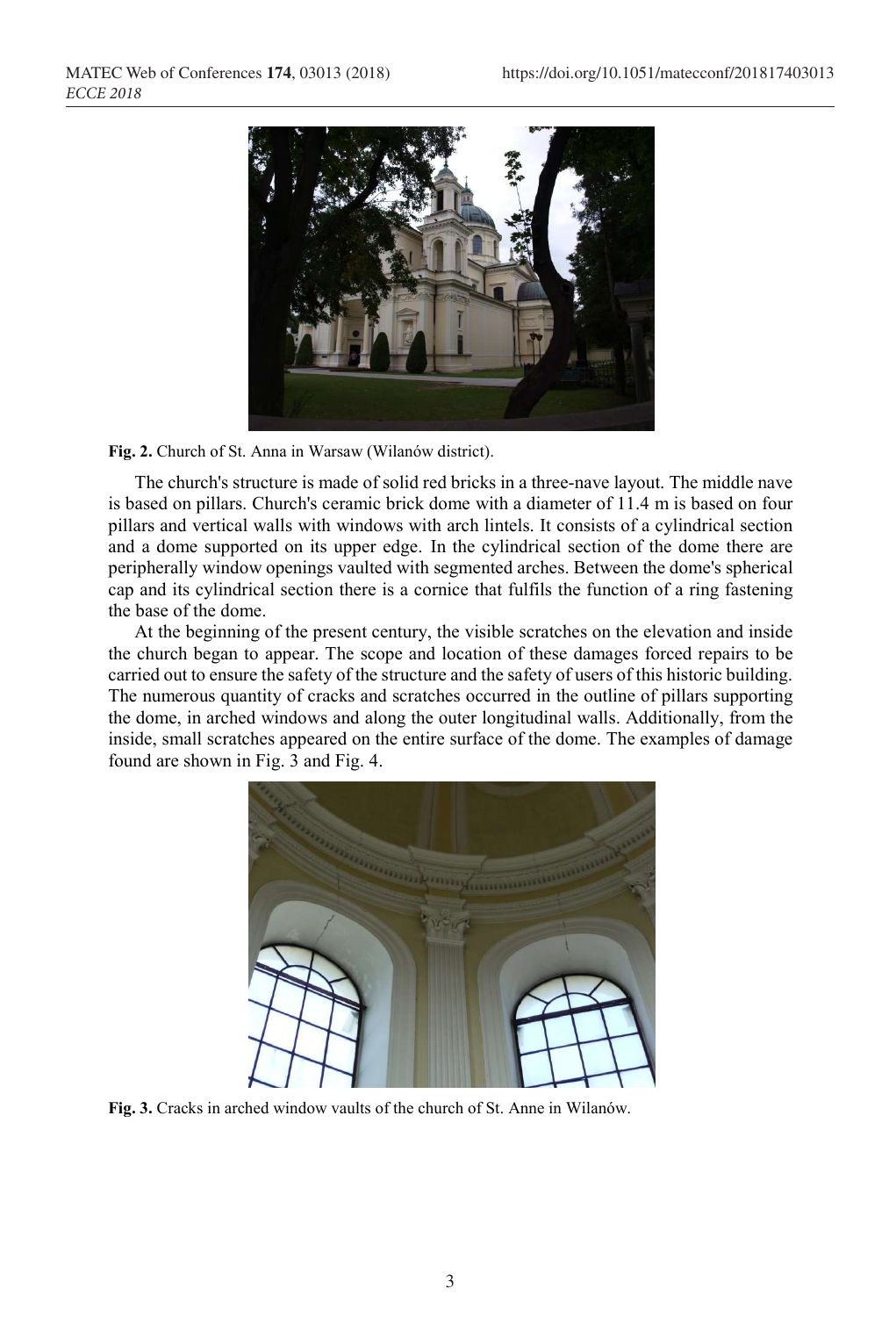

Fig. 2. Church of St. Anna in Warsaw (Wilanów district).

The church's structure is made of solid red bricks in a three-nave layout. The middle nave is based on pillars. Church's ceramic brick dome with a diameter of 11.4 m is based on four pillars and vertical walls with windows with arch lintels. It consists of a cylindrical section and a dome supported on its upper edge. In the cylindrical section of the dome there are peripherally window openings vaulted with segmented arches. Between the dome's spherical cap and its cylindrical section there is a cornice that fulfils the function of a ring fastening the base of the dome.

At the beginning of the present century, the visible scratches on the elevation and inside the church began to appear. The scope and location of these damages forced repairs to be carried out to ensure the safety of the structure and the safety of users of this historic building. The numerous quantity of cracks and scratches occurred in the outline of pillars supporting the dome, in arched windows and along the outer longitudinal walls. Additionally, from the inside, small scratches appeared on the entire surface of the dome. The examples of damage found are shown in Fig. 3 and Fig. 4.



Fig. 3. Cracks in arched window vaults of the church of St. Anne in Wilanów.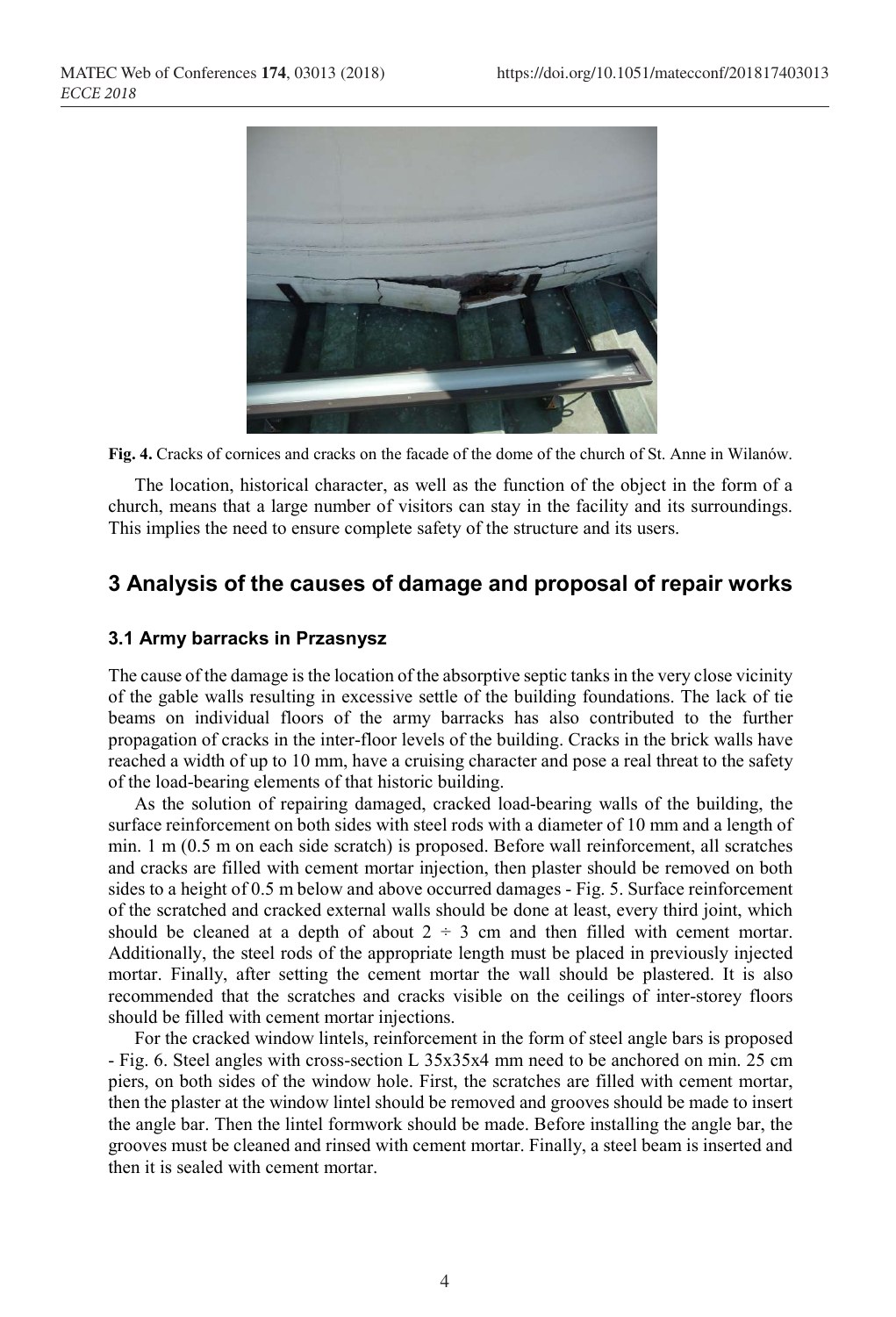

Fig. 4. Cracks of cornices and cracks on the facade of the dome of the church of St. Anne in Wilanów.

The location, historical character, as well as the function of the object in the form of a church, means that a large number of visitors can stay in the facility and its surroundings. This implies the need to ensure complete safety of the structure and its users.

## 3 Analysis of the causes of damage and proposal of repair works

#### 3.1 Army barracks in Przasnysz

The cause of the damage is the location of the absorptive septic tanks in the very close vicinity of the gable walls resulting in excessive settle of the building foundations. The lack of tie beams on individual floors of the army barracks has also contributed to the further propagation of cracks in the inter-floor levels of the building. Cracks in the brick walls have reached a width of up to 10 mm, have a cruising character and pose a real threat to the safety

of the load-bearing elements of that historic building. As the solution of repairing damaged, cracked load-bearing walls of the building, the surface reinforcement on both sides with steel rods with a diameter of 10 mm and a length of min. 1 m (0.5 m on each side scratch) is proposed. Before wall reinforcement, all scratches and cracks are filled with cement mortar injection, then plaster should be removed on both sides to a height of 0.5 m below and above occurred damages - Fig. 5. Surface reinforcement of the scratched and cracked external walls should be done at least, every third joint, which should be cleaned at a depth of about  $2 \div 3$  cm and then filled with cement mortar. Additionally, the steel rods of the appropriate length must be placed in previously injected mortar. Finally, after setting the cement mortar the wall should be plastered. It is also recommended that the scratches and cracks visible on the ceilings of inter-storey floors should be filled with cement mortar injections. For the cracked window lintels, reinforcement in the form of steel angle bars is proposed

- Fig. 6. Steel angles with cross-section L 35x35x4 mm need to be anchored on min. 25 cm piers, on both sides of the window hole. First, the scratches are filled with cement mortar, then the plaster at the window lintel should be removed and grooves should be made to insert the angle bar. Then the lintel formwork should be made. Before installing the angle bar, the grooves must be cleaned and rinsed with cement mortar. Finally, a steel beam is inserted and then it is sealed with cement mortar.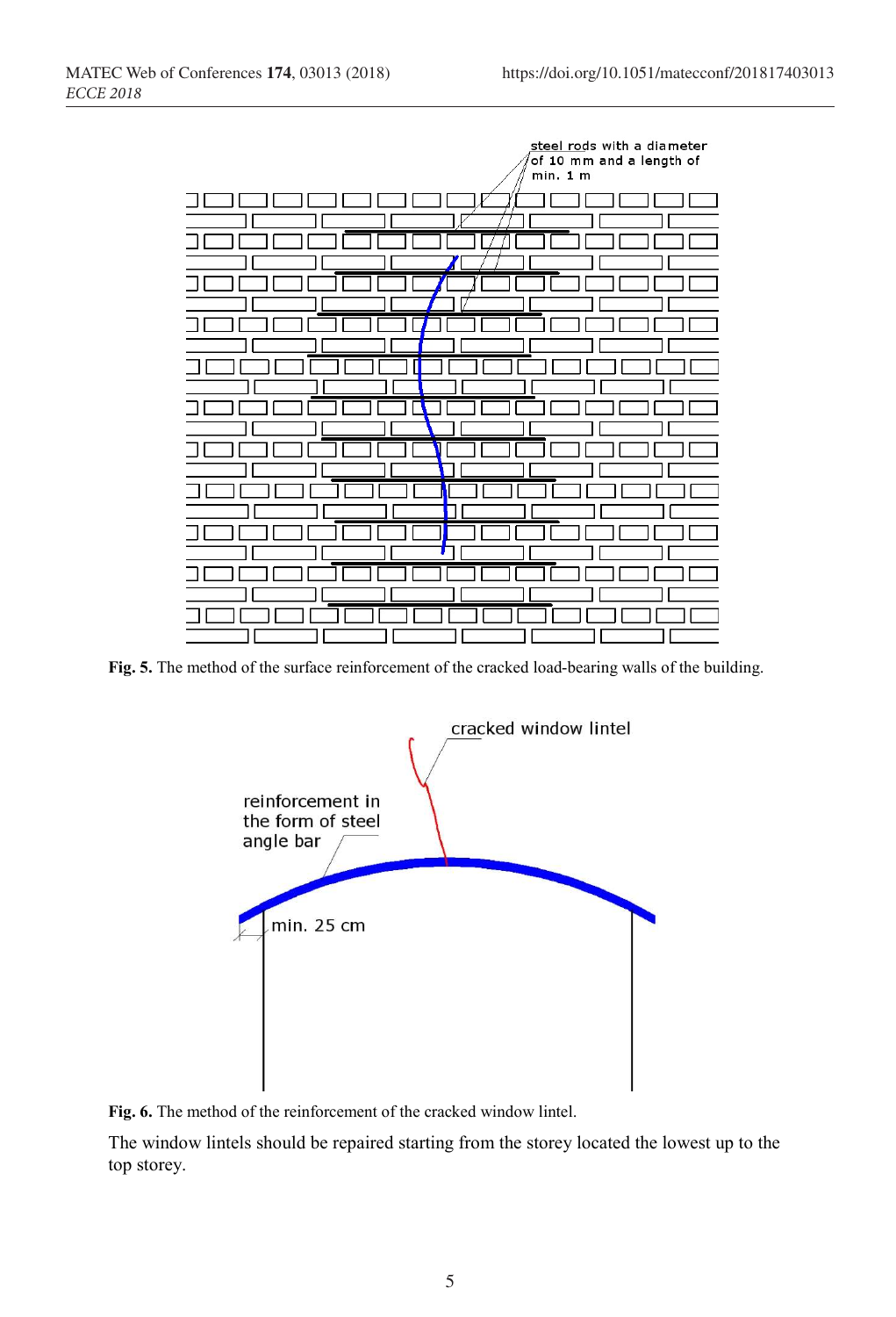

Fig. 5. The method of the surface reinforcement of the cracked load-bearing walls of the building.



Fig. 6. The method of the reinforcement of the cracked window lintel.

The window lintels should be repaired starting from the storey located the lowest up to the top storey.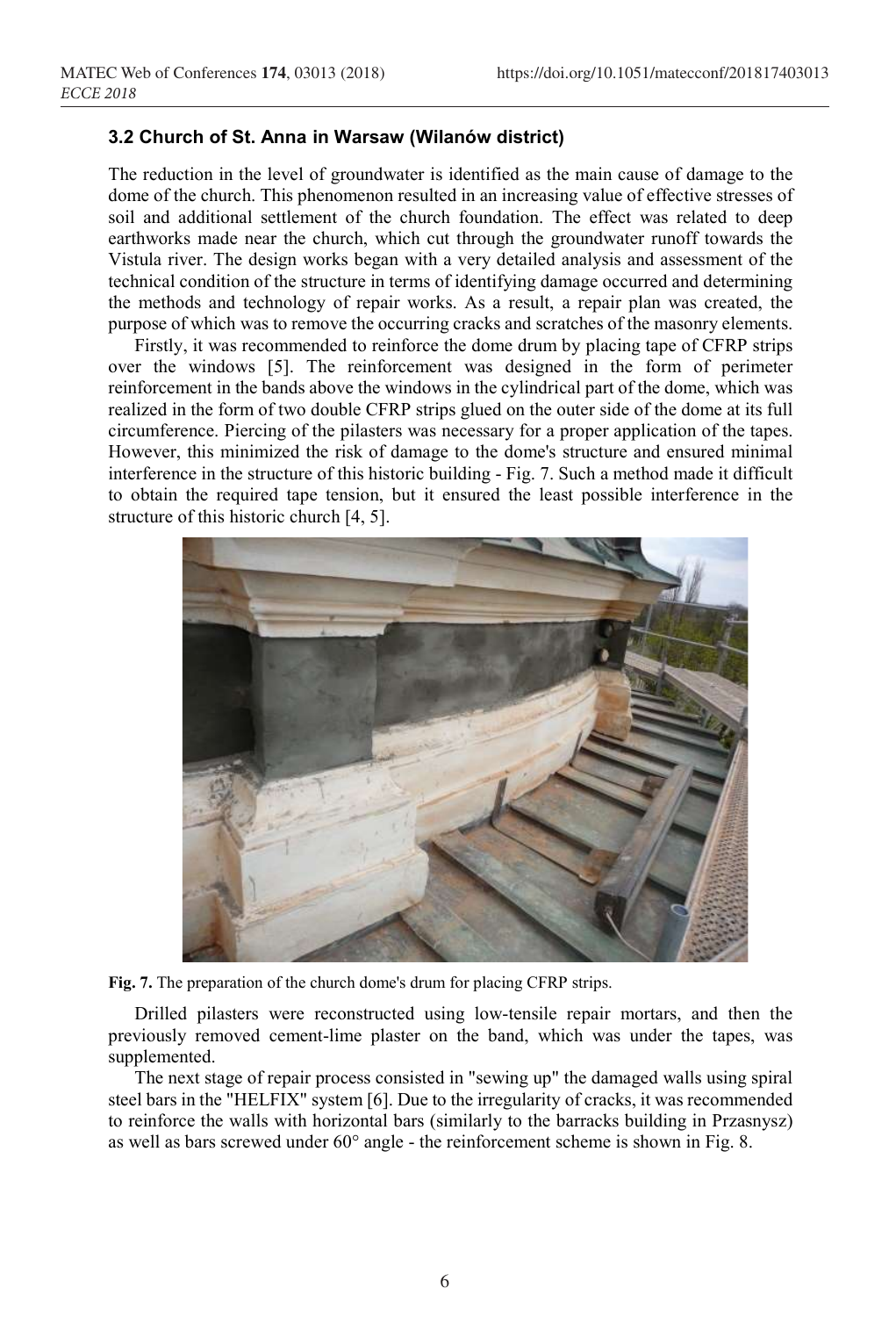#### 3.2 Church of St. Anna in Warsaw (Wilanów district)

The reduction in the level of groundwater is identified as the main cause of damage to the dome of the church. This phenomenon resulted in an increasing value of effective stresses of soil and additional settlement of the church foundation. The effect was related to deep earthworks made near the church, which cut through the groundwater runoff towards the Vistula river. The design works began with a very detailed analysis and assessment of the technical condition of the structure in terms of identifying damage occurred and determining the methods and technology of repair works. As a result, a repair plan was created, the purpose of which was to remove the occurring cracks and scratches of the masonry elements.

Firstly, it was recommended to reinforce the dome drum by placing tape of CFRP strips over the windows [5]. The reinforcement was designed in the form of perimeter reinforcement in the bands above the windows in the cylindrical part of the dome, which was realized in the form of two double CFRP strips glued on the outer side of the dome at its full circumference. Piercing of the pilasters was necessary for a proper application of the tapes. However, this minimized the risk of damage to the dome's structure and ensured minimal interference in the structure of this historic building - Fig. 7. Such a method made it difficult to obtain the required tape tension, but it ensured the least possible interference in the structure of this historic church [4, 5].



Fig. 7. The preparation of the church dome's drum for placing CFRP strips.

Drilled pilasters were reconstructed using low-tensile repair mortars, and then the previously removed cement-lime plaster on the band, which was under the tapes, was supplemented.

The next stage of repair process consisted in "sewing up" the damaged walls using spiral steel bars in the "HELFIX" system [6]. Due to the irregularity of cracks, it was recommended to reinforce the walls with horizontal bars (similarly to the barracks building in Przasnysz) as well as bars screwed under 60° angle - the reinforcement scheme is shown in Fig. 8.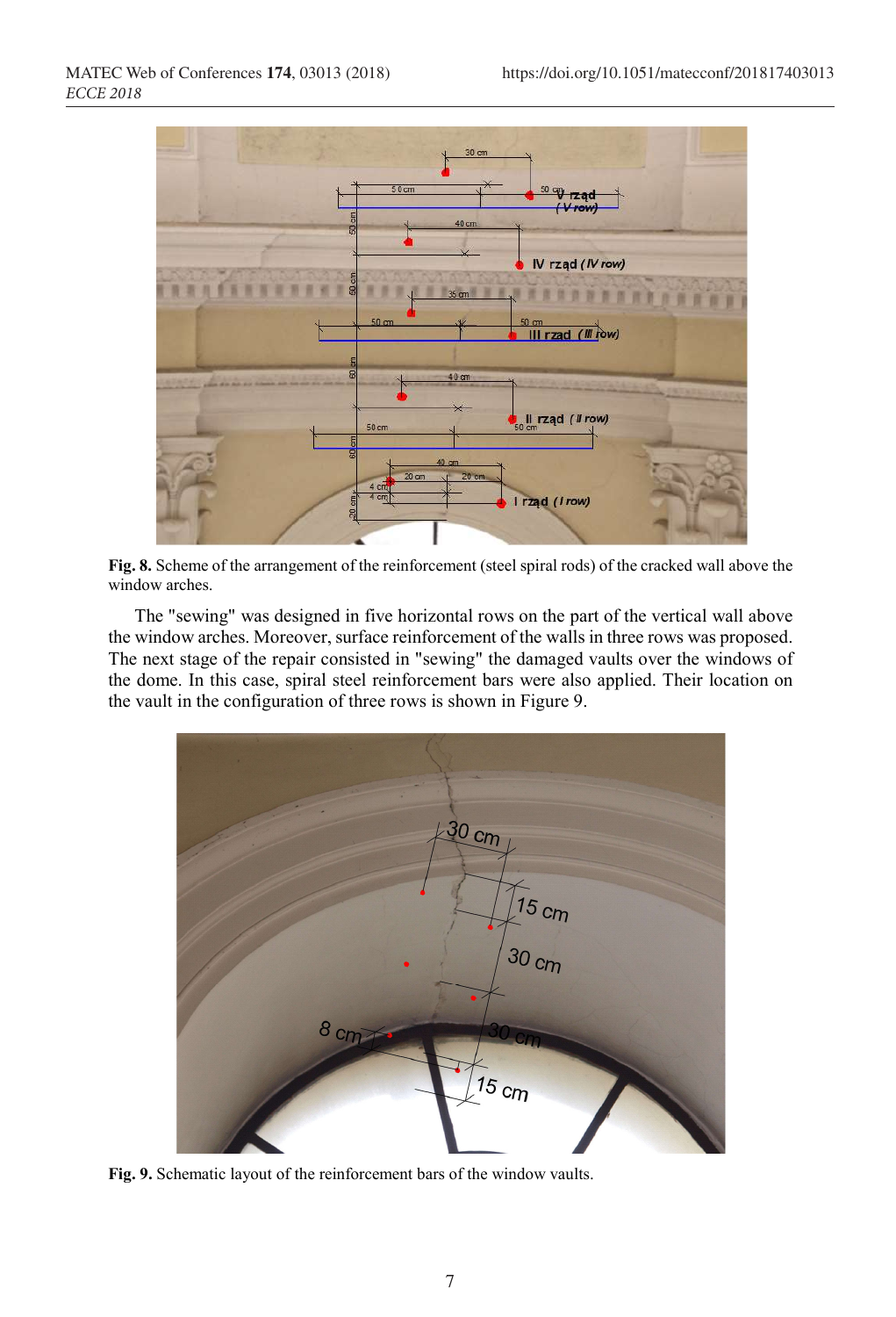

Fig. 8. Scheme of the arrangement of the reinforcement (steel spiral rods) of the cracked wall above the window arches.

The "sewing" was designed in five horizontal rows on the part of the vertical wall above the window arches. Moreover, surface reinforcement of the walls in three rows was proposed. The next stage of the repair consisted in "sewing" the damaged vaults over the windows of the dome. In this case, spiral steel reinforcement bars were also applied. Their location on the vault in the configuration of three rows is shown in Figure 9.



Fig. 9. Schematic layout of the reinforcement bars of the window vaults.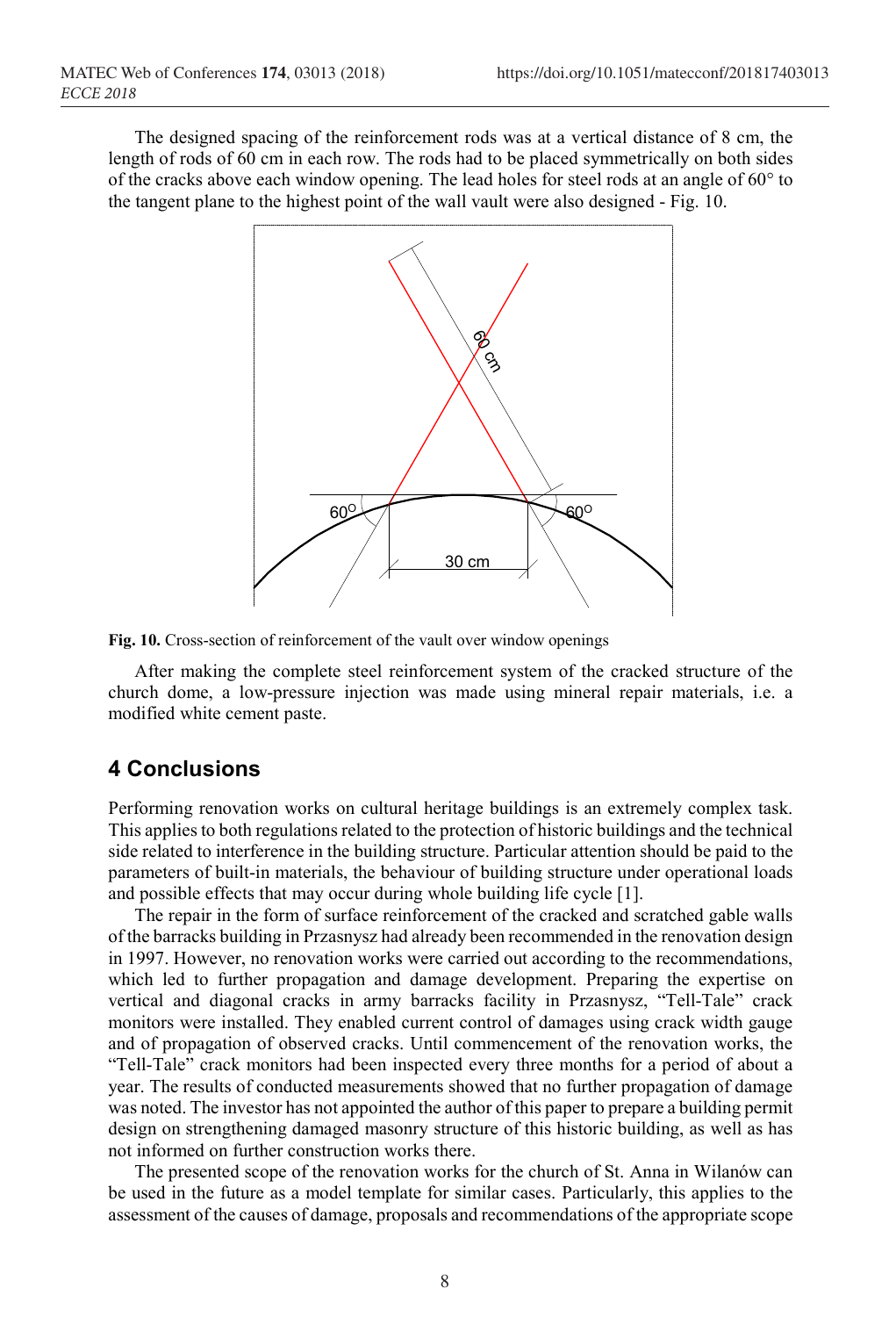The designed spacing of the reinforcement rods was at a vertical distance of 8 cm, the length of rods of 60 cm in each row. The rods had to be placed symmetrically on both sides of the cracks above each window opening. The lead holes for steel rods at an angle of 60° to the tangent plane to the highest point of the wall vault were also designed - Fig. 10.



Fig. 10. Cross-section of reinforcement of the vault over window openings

After making the complete steel reinforcement system of the cracked structure of the church dome, a low-pressure injection was made using mineral repair materials, i.e. a modified white cement paste.

## 4 Conclusions

Performing renovation works on cultural heritage buildings is an extremely complex task. This applies to both regulations related to the protection of historic buildings and the technical side related to interference in the building structure. Particular attention should be paid to the parameters of built-in materials, the behaviour of building structure under operational loads and possible effects that may occur during whole building life cycle [1].

The repair in the form of surface reinforcement of the cracked and scratched gable walls of the barracks building in Przasnysz had already been recommended in the renovation design in 1997. However, no renovation works were carried out according to the recommendations, which led to further propagation and damage development. Preparing the expertise on vertical and diagonal cracks in army barracks facility in Przasnysz, "Tell-Tale" crack monitors were installed. They enabled current control of damages using crack width gauge and of propagation of observed cracks. Until commencement of the renovation works, the "Tell-Tale" crack monitors had been inspected every three months for a period of about a year. The results of conducted measurements showed that no further propagation of damage was noted. The investor has not appointed the author of this paper to prepare a building permit design on strengthening damaged masonry structure of this historic building, as well as has not informed on further construction works there.

The presented scope of the renovation works for the church of St. Anna in Wilanów can be used in the future as a model template for similar cases. Particularly, this applies to the assessment of the causes of damage, proposals and recommendations of the appropriate scope